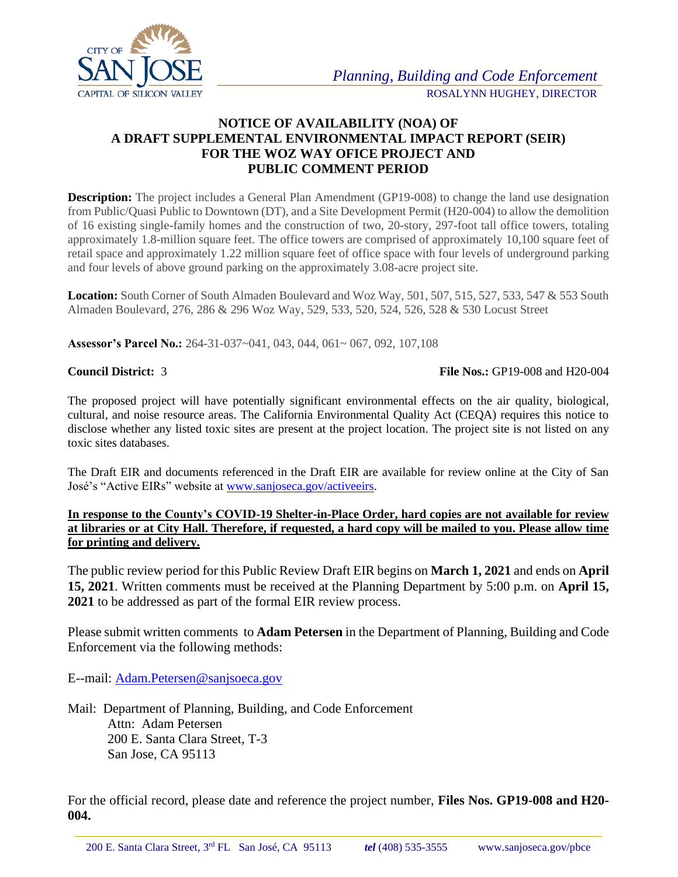

## **NOTICE OF AVAILABILITY (NOA) OF A DRAFT SUPPLEMENTAL ENVIRONMENTAL IMPACT REPORT (SEIR) FOR THE WOZ WAY OFICE PROJECT AND PUBLIC COMMENT PERIOD**

**Description:** The project includes a General Plan Amendment (GP19-008) to change the land use designation from Public/Quasi Public to Downtown (DT), and a Site Development Permit (H20-004) to allow the demolition of 16 existing single-family homes and the construction of two, 20-story, 297-foot tall office towers, totaling approximately 1.8-million square feet. The office towers are comprised of approximately 10,100 square feet of retail space and approximately 1.22 million square feet of office space with four levels of underground parking and four levels of above ground parking on the approximately 3.08-acre project site.

**Location:** South Corner of South Almaden Boulevard and Woz Way, 501, 507, 515, 527, 533, 547 & 553 South Almaden Boulevard, 276, 286 & 296 Woz Way, 529, 533, 520, 524, 526, 528 & 530 Locust Street

**Assessor's Parcel No.:** 264-31-037~041, 043, 044, 061~ 067, 092, 107,108

## **Council District:** 3 **File Nos.:** GP19-008 and H20-004

The proposed project will have potentially significant environmental effects on the air quality, biological, cultural, and noise resource areas. The California Environmental Quality Act (CEQA) requires this notice to disclose whether any listed toxic sites are present at the project location. The project site is not listed on any toxic sites databases.

The Draft EIR and documents referenced in the Draft EIR are available for review online at the City of San José's "Active EIRs" website at [www.sanjoseca.gov/activeeirs.](http://www.sanjoseca.gov/activeeirs)

**In response to the County's COVID-19 Shelter-in-Place Order, hard copies are not available for review at libraries or at City Hall. Therefore, if requested, a hard copy will be mailed to you. Please allow time for printing and delivery.**

The public review period for this Public Review Draft EIR begins on **March 1, 2021** and ends on **April 15, 2021**. Written comments must be received at the Planning Department by 5:00 p.m. on **April 15, 2021** to be addressed as part of the formal EIR review process.

Please submit written comments to **Adam Petersen** in the Department of Planning, Building and Code Enforcement via the following methods:

E--mail: [Adam.Petersen@sanjsoeca.gov](mailto:Adam.Petersen@sanjsoeca.gov)

Mail: Department of Planning, Building, and Code Enforcement Attn: Adam Petersen 200 E. Santa Clara Street, T-3 San Jose, CA 95113

For the official record, please date and reference the project number, **Files Nos. GP19-008 and H20- 004.**